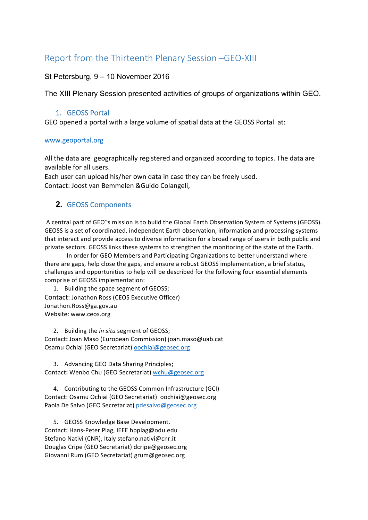# Report from the Thirteenth Plenary Session -GEO-XIII

### St Petersburg, 9 – 10 November 2016

The XIII Plenary Session presented activities of groups of organizations within GEO.

### 1. GEOSS Portal

GEO opened a portal with a large volume of spatial data at the GEOSS Portal at:

#### www.geoportal.org

All the data are geographically registered and organized according to topics. The data are available for all users.

Each user can upload his/her own data in case they can be freely used. Contact: Joost van Bemmelen &Guido Colangeli,

### **2. GEOSS Components**

A central part of GEO"s mission is to build the Global Earth Observation System of Systems (GEOSS). GEOSS is a set of coordinated, independent Earth observation, information and processing systems that interact and provide access to diverse information for a broad range of users in both public and private sectors. GEOSS links these systems to strengthen the monitoring of the state of the Earth.

In order for GEO Members and Participating Organizations to better understand where there are gaps, help close the gaps, and ensure a robust GEOSS implementation, a brief status, challenges and opportunities to help will be described for the following four essential elements comprise of GEOSS implementation:

1. Building the space segment of GEOSS; Contact: Jonathon Ross (CEOS Executive Officer) Jonathon.Ross@ga.gov.au Website: www.ceos.org

2. Building the *in situ* segment of GEOSS; Contact: Joan Maso (European Commission) joan.maso@uab.cat Osamu Ochiai (GEO Secretariat) oochiai@geosec.org

3. Advancing GEO Data Sharing Principles; Contact: Wenbo Chu (GEO Secretariat) wchu@geosec.org

4. Contributing to the GEOSS Common Infrastructure (GCI) Contact: Osamu Ochiai (GEO Secretariat) oochiai@geosec.org Paola De Salvo (GEO Secretariat) pdesalvo@geosec.org

5. GEOSS Knowledge Base Development. Contact**:** Hans-Peter Plag, IEEE hpplag@odu.edu Stefano Nativi (CNR), Italy stefano.nativi@cnr.it Douglas Cripe (GEO Secretariat) dcripe@geosec.org Giovanni Rum (GEO Secretariat) grum@geosec.org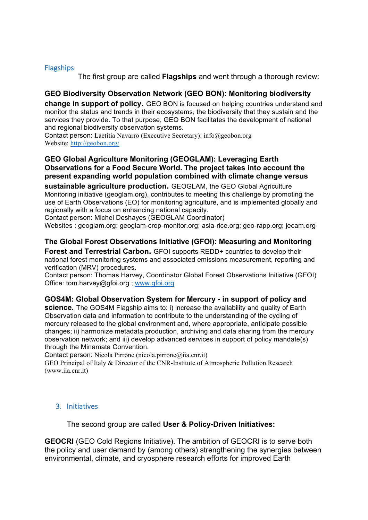#### **Flagships**

The first group are called **Flagships** and went through a thorough review:

### **GEO Biodiversity Observation Network (GEO BON): Monitoring biodiversity**

**change in support of policy.** GEO BON is focused on helping countries understand and monitor the status and trends in their ecosystems, the biodiversity that they sustain and the services they provide. To that purpose, GEO BON facilitates the development of national and regional biodiversity observation systems.

Contact person: Laetitia Navarro (Executive Secretary): info@geobon.org Website: http://geobon.org/

### **GEO Global Agriculture Monitoring (GEOGLAM): Leveraging Earth Observations for a Food Secure World. The project takes into account the present expanding world population combined with climate change versus**

**sustainable agriculture production.** GEOGLAM, the GEO Global Agriculture Monitoring initiative (geoglam.org), contributes to meeting this challenge by promoting the use of Earth Observations (EO) for monitoring agriculture, and is implemented globally and regionally with a focus on enhancing national capacity.

Contact person: Michel Deshayes (GEOGLAM Coordinator)

Websites : geoglam.org; geoglam-crop-monitor.org; asia-rice.org; geo-rapp.org; jecam.org

### **The Global Forest Observations Initiative (GFOI): Measuring and Monitoring**

**Forest and Terrestrial Carbon.** GFOI supports REDD+ countries to develop their national forest monitoring systems and associated emissions measurement, reporting and verification (MRV) procedures.

Contact person: Thomas Harvey, Coordinator Global Forest Observations Initiative (GFOI) Office: tom.harvey@gfoi.org ; www.gfoi.org

#### **GOS4M: Global Observation System for Mercury - in support of policy and**

**science.** The GOS4M Flagship aims to: i) increase the availability and quality of Earth Observation data and information to contribute to the understanding of the cycling of mercury released to the global environment and, where appropriate, anticipate possible changes; ii) harmonize metadata production, archiving and data sharing from the mercury observation network; and iii) develop advanced services in support of policy mandate(s) through the Minamata Convention.

Contact person: Nicola Pirrone (nicola.pirrone@iia.cnr.it)

GEO Principal of Italy & Director of the CNR-Institute of Atmospheric Pollution Research (www.iia.cnr.it)

#### 3. Initiatives

The second group are called **User & Policy-Driven Initiatives:**

**GEOCRI** (GEO Cold Regions Initiative). The ambition of GEOCRI is to serve both the policy and user demand by (among others) strengthening the synergies between environmental, climate, and cryosphere research efforts for improved Earth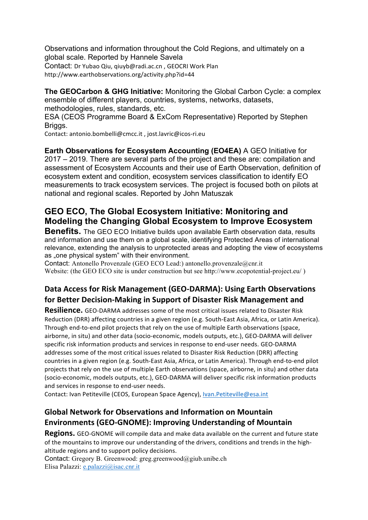Observations and information throughout the Cold Regions, and ultimately on a global scale. Reported by Hannele Savela Contact: Dr Yubao Qiu, giuyb@radi.ac.cn, GEOCRI Work Plan

http://www.earthobservations.org/activity.php?id=44

**The GEOCarbon & GHG Initiative:** Monitoring the Global Carbon Cycle: a complex ensemble of different players, countries, systems, networks, datasets, methodologies, rules, standards, etc.

ESA (CEOS Programme Board & ExCom Representative) Reported by Stephen Briggs.

Contact: antonio.bombelli@cmcc.it, jost.lavric@icos-ri.eu

**Earth Observations for Ecosystem Accounting (EO4EA)** A GEO Initiative for 2017 – 2019. There are several parts of the project and these are: compilation and assessment of Ecosystem Accounts and their use of Earth Observation, definition of ecosystem extent and condition, ecosystem services classification to identify EO measurements to track ecosystem services. The project is focused both on pilots at national and regional scales. Reported by John Matuszak

# **GEO ECO, The Global Ecosystem Initiative: Monitoring and Modeling the Changing Global Ecosystem to Improve Ecosystem**

**Benefits.** The GEO ECO Initiative builds upon available Earth observation data, results and information and use them on a global scale, identifying Protected Areas of international relevance, extending the analysis to unprotected areas and adopting the view of ecosystems as "one physical system" with their environment.

Contact: Antonello Provenzale (GEO ECO Lead:) antonello.provenzale@cnr.it Website: (the GEO ECO site is under construction but see http://www.ecopotential-project.eu/ )

# **Data Access for Risk Management (GEO-DARMA): Using Earth Observations** for Better Decision-Making in Support of Disaster Risk Management and

**Resilience.** GEO-DARMA addresses some of the most critical issues related to Disaster Risk Reduction (DRR) affecting countries in a given region (e.g. South-East Asia, Africa, or Latin America). Through end-to-end pilot projects that rely on the use of multiple Earth observations (space, airborne, in situ) and other data (socio-economic, models outputs, etc.), GEO-DARMA will deliver specific risk information products and services in response to end-user needs. GEO-DARMA addresses some of the most critical issues related to Disaster Risk Reduction (DRR) affecting countries in a given region (e.g. South-East Asia, Africa, or Latin America). Through end-to-end pilot projects that rely on the use of multiple Earth observations (space, airborne, in situ) and other data (socio-economic, models outputs, etc.), GEO-DARMA will deliver specific risk information products and services in response to end-user needs.

Contact: Ivan Petiteville (CEOS, European Space Agency), Ivan.Petiteville@esa.int

# **Global Network for Observations and Information on Mountain Environments (GEO-GNOME): Improving Understanding of Mountain**

**Regions.** GEO-GNOME will compile data and make data available on the current and future state of the mountains to improve our understanding of the drivers, conditions and trends in the highaltitude regions and to support policy decisions.

Contact: Gregory B. Greenwood: greg.greenwood@giub.unibe.ch Elisa Palazzi: e.palazzi@isac.cnr.it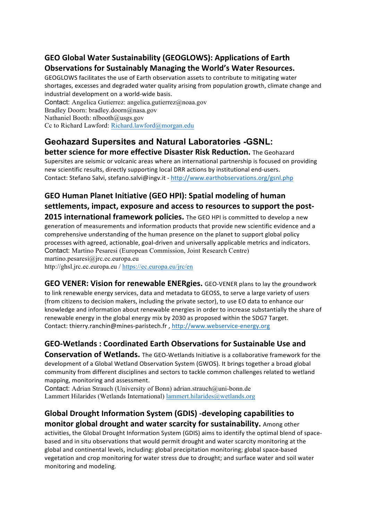# GEO Global Water Sustainability (GEOGLOWS): Applications of Earth **Observations for Sustainably Managing the World's Water Resources.**

GEOGLOWS facilitates the use of Earth observation assets to contribute to mitigating water shortages, excesses and degraded water quality arising from population growth, climate change and industrial development on a world-wide basis.

Contact: Angelica Gutierrez: angelica.gutierrez@noaa.gov Bradley Doorn: bradley.doorn@nasa.gov Nathaniel Booth: nlbooth@usgs.gov Cc to Richard Lawford: Richard.lawford@morgan.edu

### **Geohazard Supersites and Natural Laboratories -GSNL: better science for more effective Disaster Risk Reduction.** The Geohazard

Supersites are seismic or volcanic areas where an international partnership is focused on providing new scientific results, directly supporting local DRR actions by institutional end-users. Contact: Stefano Salvi, stefano.salvi@ingv.it - http://www.earthobservations.org/gsnl.php

# GEO Human Planet Initiative (GEO HPI): Spatial modeling of human settlements, impact, exposure and access to resources to support the post-

**2015 international framework policies.** The GEO HPI is committed to develop a new generation of measurements and information products that provide new scientific evidence and a comprehensive understanding of the human presence on the planet to support global policy processes with agreed, actionable, goal-driven and universally applicable metrics and indicators. Contact: Martino Pesaresi (European Commission, Joint Research Centre) martino.pesaresi@jrc.ec.europa.eu http://ghsl.jrc.ec.europa.eu / https://ec.europa.eu/jrc/en

**GEO VENER: Vision for renewable ENERgies.** GEO-VENER plans to lay the groundwork to link renewable energy services, data and metadata to GEOSS, to serve a large variety of users (from citizens to decision makers, including the private sector), to use EO data to enhance our knowledge and information about renewable energies in order to increase substantially the share of renewable energy in the global energy mix by 2030 as proposed within the SDG7 Target. Contact: thierry.ranchin@mines-paristech.fr, http://www.webservice-energy.org

# GEO-Wetlands : Coordinated Earth Observations for Sustainable Use and

**Conservation of Wetlands.** The GEO-Wetlands Initiative is a collaborative framework for the development of a Global Wetland Observation System (GWOS). It brings together a broad global community from different disciplines and sectors to tackle common challenges related to wetland mapping, monitoring and assessment.

Contact: Adrian Strauch (University of Bonn) adrian.strauch@uni-bonn.de Lammert Hilarides (Wetlands International) lammert.hilarides@wetlands.org

## Global Drought Information System (GDIS) -developing capabilities to **monitor global drought and water scarcity for sustainability.** Among other

activities, the Global Drought Information System (GDIS) aims to identify the optimal blend of spacebased and in situ observations that would permit drought and water scarcity monitoring at the global and continental levels, including: global precipitation monitoring; global space-based vegetation and crop monitoring for water stress due to drought; and surface water and soil water monitoring and modeling.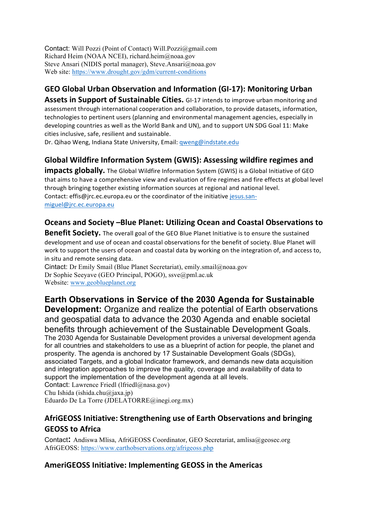Contact: Will Pozzi (Point of Contact) Will.Pozzi@gmail.com Richard Heim (NOAA NCEI), richard.heim@noaa.gov Steve Ansari (NIDIS portal manager), Steve.Ansari@noaa.gov Web site: https://www.drought.gov/gdm/current-conditions

# GEO Global Urban Observation and Information (GI-17): Monitoring Urban

**Assets in Support of Sustainable Cities.** GI-17 intends to improve urban monitoring and assessment through international cooperation and collaboration, to provide datasets, information, technologies to pertinent users (planning and environmental management agencies, especially in developing countries as well as the World Bank and UN), and to support UN SDG Goal 11: Make cities inclusive, safe, resilient and sustainable.

Dr. Qihao Weng, Indiana State University, Email: gweng@indstate.edu

# Global Wildfire Information System (GWIS): Assessing wildfire regimes and

**impacts globally.** The Global Wildfire Information System (GWIS) is a Global Initiative of GEO that aims to have a comprehensive view and evaluation of fire regimes and fire effects at global level through bringing together existing information sources at regional and national level. Contact: effis@jrc.ec.europa.eu or the coordinator of the initiative jesus.sanmiguel@jrc.ec.europa.eu

## **Oceans and Society -Blue Planet: Utilizing Ocean and Coastal Observations to**

**Benefit Society.** The overall goal of the GEO Blue Planet Initiative is to ensure the sustained development and use of ocean and coastal observations for the benefit of society. Blue Planet will work to support the users of ocean and coastal data by working on the integration of, and access to, in situ and remote sensing data.

Cintact: Dr Emily Smail (Blue Planet Secretariat), emily.smail@noaa.gov Dr Sophie Seeyave (GEO Principal, POGO), ssve@pml.ac.uk Website: www.geoblueplanet.org

# **Earth Observations in Service of the 2030 Agenda for Sustainable**

**Development:** Organize and realize the potential of Earth observations and geospatial data to advance the 2030 Agenda and enable societal benefits through achievement of the Sustainable Development Goals. The 2030 Agenda for Sustainable Development provides a universal development agenda for all countries and stakeholders to use as a blueprint of action for people, the planet and prosperity. The agenda is anchored by 17 Sustainable Development Goals (SDGs), associated Targets, and a global Indicator framework, and demands new data acquisition and integration approaches to improve the quality, coverage and availability of data to support the implementation of the development agenda at all levels. Contact: Lawrence Friedl (lfriedl@nasa.gov) Chu Ishida (ishida.chu@jaxa.jp)

Eduardo De La Torre (JDELATORRE@inegi.org.mx)

# AfriGEOSS Initiative: Strengthening use of Earth Observations and bringing **GEOSS to Africa**

Contact**:** Andiswa Mlisa, AfriGEOSS Coordinator, GEO Secretariat, amlisa@geosec.org AfriGEOSS: https://www.earthobservations.org/afrigeoss.php

## AmeriGEOSS Initiative: Implementing GEOSS in the Americas